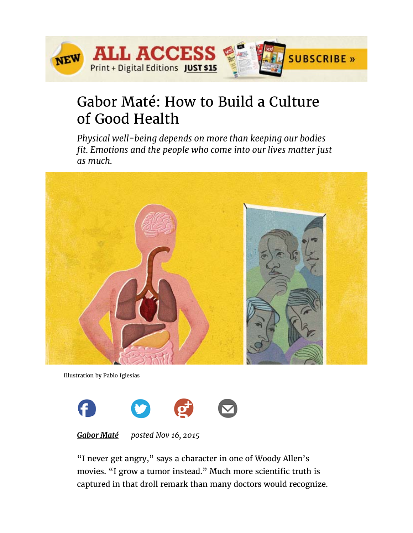

## Gabor Maté: How to Build a Culture of Good Health

*Physical well-being depends on more than keeping our bodies fit. Emotions and the people who come into our lives matter just as much.* 



Illustration by Pablo Iglesias





"I never get angry," says a character in one of Woody Allen's movies. "I grow a tumor instead." Much more scientific truth is captured in that droll remark than many doctors would recognize.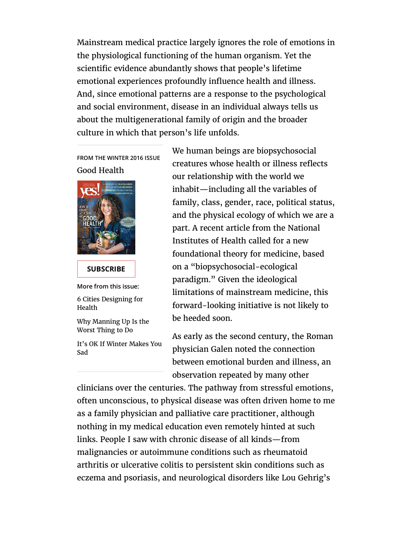Mainstream medical practice largely ignores the role of emotions in the physiological functioning of the human organism. Yet the scientific evidence abundantly shows that people's lifetime emotional experiences profoundly influence health and illness. And, since emotional patterns are a response to the psychological and social environment, disease in an individual always tells us about the multigenerational family of origin and the broader culture in which that person's life unfolds.

**FROM THE WINTER 2016 ISSUE**  Good Health



**SUBSCRIBE**

**More from this issue:** 6 Cities Designing for Health Why Manning Up Is the Worst Thing to Do

It's OK If Winter Makes You Sad

We human beings are biopsychosocial creatures whose health or illness reflects our relationship with the world we inhabit—including all the variables of family, class, gender, race, political status, and the physical ecology of which we are a part. A recent article from the National Institutes of Health called for a new foundational theory for medicine, based on a "biopsychosocial-ecological paradigm." Given the ideological limitations of mainstream medicine, this forward-looking initiative is not likely to be heeded soon.

As early as the second century, the Roman physician Galen noted the connection between emotional burden and illness, an observation repeated by many other

clinicians over the centuries. The pathway from stressful emotions, often unconscious, to physical disease was often driven home to me as a family physician and palliative care practitioner, although nothing in my medical education even remotely hinted at such links. People I saw with chronic disease of all kinds—from malignancies or autoimmune conditions such as rheumatoid arthritis or ulcerative colitis to persistent skin conditions such as eczema and psoriasis, and neurological disorders like Lou Gehrig's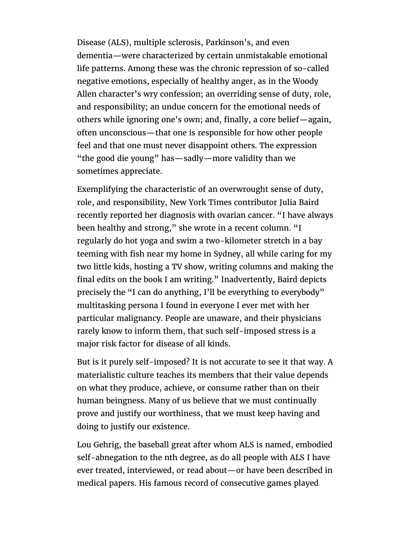Disease (ALS), multiple sclerosis, Parkinson's, and even dementia—were characterized by certain unmistakable emotional life patterns. Among these was the chronic repression of so-called negative emotions, especially of healthy anger, as in the Woody Allen character's wry confession; an overriding sense of duty, role, and responsibility; an undue concern for the emotional needs of others while ignoring one's own; and, finally, a core belief—again, often unconscious—that one is responsible for how other people feel and that one must never disappoint others. The expression "the good die young" has—sadly—more validity than we sometimes appreciate.

Exemplifying the characteristic of an overwrought sense of duty, role, and responsibility, New York Times contributor Julia Baird recently reported her diagnosis with ovarian cancer. "I have always been healthy and strong," she wrote in a recent column. "I regularly do hot yoga and swim a two-kilometer stretch in a bay teeming with fish near my home in Sydney, all while caring for my two little kids, hosting a TV show, writing columns and making the final edits on the book I am writing." Inadvertently, Baird depicts precisely the "I can do anything, I'll be everything to everybody" multitasking persona I found in everyone I ever met with her particular malignancy. People are unaware, and their physicians rarely know to inform them, that such self-imposed stress is a major risk factor for disease of all kinds.

But is it purely self-imposed? It is not accurate to see it that way. A materialistic culture teaches its members that their value depends on what they produce, achieve, or consume rather than on their human beingness. Many of us believe that we must continually prove and justify our worthiness, that we must keep having and doing to justify our existence.

Lou Gehrig, the baseball great after whom ALS is named, embodied self-abnegation to the nth degree, as do all people with ALS I have ever treated, interviewed, or read about—or have been described in medical papers. His famous record of consecutive games played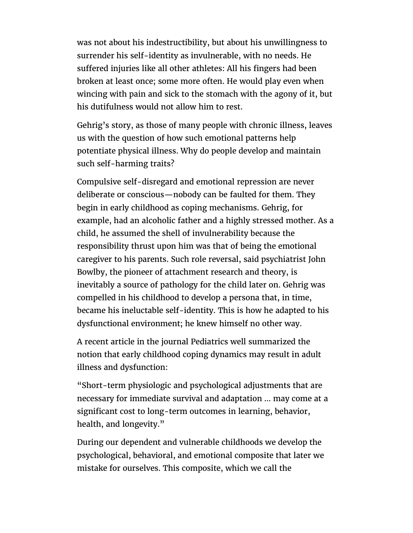was not about his indestructibility, but about his unwillingness to surrender his self-identity as invulnerable, with no needs. He suffered injuries like all other athletes: All his fingers had been broken at least once; some more often. He would play even when wincing with pain and sick to the stomach with the agony of it, but his dutifulness would not allow him to rest.

Gehrig's story, as those of many people with chronic illness, leaves us with the question of how such emotional patterns help potentiate physical illness. Why do people develop and maintain such self-harming traits?

Compulsive self-disregard and emotional repression are never deliberate or conscious—nobody can be faulted for them. They begin in early childhood as coping mechanisms. Gehrig, for example, had an alcoholic father and a highly stressed mother. As a child, he assumed the shell of invulnerability because the responsibility thrust upon him was that of being the emotional caregiver to his parents. Such role reversal, said psychiatrist John Bowlby, the pioneer of attachment research and theory, is inevitably a source of pathology for the child later on. Gehrig was compelled in his childhood to develop a persona that, in time, became his ineluctable self-identity. This is how he adapted to his dysfunctional environment; he knew himself no other way.

A recent article in the journal Pediatrics well summarized the notion that early childhood coping dynamics may result in adult illness and dysfunction:

"Short-term physiologic and psychological adjustments that are necessary for immediate survival and adaptation … may come at a significant cost to long-term outcomes in learning, behavior, health, and longevity."

During our dependent and vulnerable childhoods we develop the psychological, behavioral, and emotional composite that later we mistake for ourselves. This composite, which we call the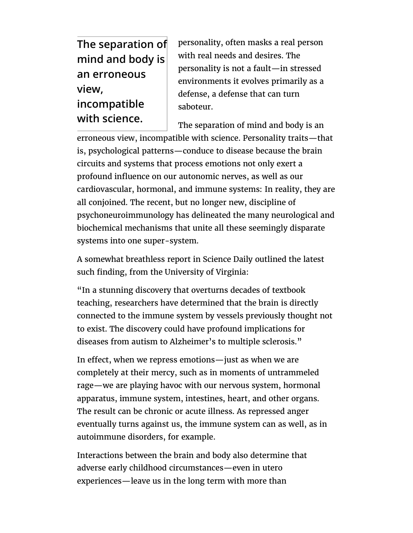**The separation of mind and body is an erroneous view, incompatible with science.**

personality, often masks a real person with real needs and desires. The personality is not a fault—in stressed environments it evolves primarily as a defense, a defense that can turn saboteur.

The separation of mind and body is an erroneous view, incompatible with science. Personality traits—that is, psychological patterns—conduce to disease because the brain circuits and systems that process emotions not only exert a profound influence on our autonomic nerves, as well as our cardiovascular, hormonal, and immune systems: In reality, they are all conjoined. The recent, but no longer new, discipline of psychoneuroimmunology has delineated the many neurological and biochemical mechanisms that unite all these seemingly disparate systems into one super-system.

A somewhat breathless report in Science Daily outlined the latest such finding, from the University of Virginia:

"In a stunning discovery that overturns decades of textbook teaching, researchers have determined that the brain is directly connected to the immune system by vessels previously thought not to exist. The discovery could have profound implications for diseases from autism to Alzheimer's to multiple sclerosis."

In effect, when we repress emotions—just as when we are completely at their mercy, such as in moments of untrammeled rage—we are playing havoc with our nervous system, hormonal apparatus, immune system, intestines, heart, and other organs. The result can be chronic or acute illness. As repressed anger eventually turns against us, the immune system can as well, as in autoimmune disorders, for example.

Interactions between the brain and body also determine that adverse early childhood circumstances—even in utero experiences—leave us in the long term with more than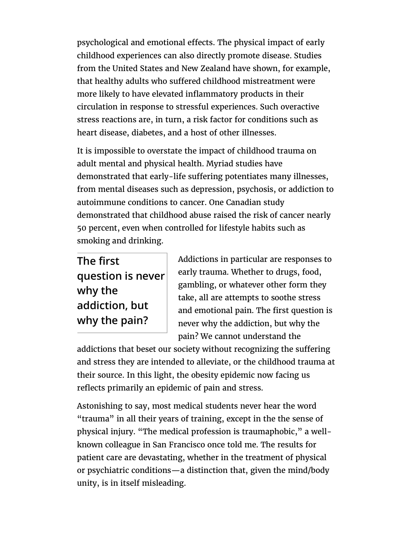psychological and emotional effects. The physical impact of early childhood experiences can also directly promote disease. Studies from the United States and New Zealand have shown, for example, that healthy adults who suffered childhood mistreatment were more likely to have elevated inflammatory products in their circulation in response to stressful experiences. Such overactive stress reactions are, in turn, a risk factor for conditions such as heart disease, diabetes, and a host of other illnesses.

It is impossible to overstate the impact of childhood trauma on adult mental and physical health. Myriad studies have demonstrated that early-life suffering potentiates many illnesses, from mental diseases such as depression, psychosis, or addiction to autoimmune conditions to cancer. One Canadian study demonstrated that childhood abuse raised the risk of cancer nearly 50 percent, even when controlled for lifestyle habits such as smoking and drinking.

The first question is never why the addiction, but why the pain?

Addictions in particular are responses to early trauma. Whether to drugs, food, gambling, or whatever other form they take, all are attempts to soothe stress and emotional pain. The first question is never why the addiction, but why the pain? We cannot understand the

addictions that beset our society without recognizing the suffering and stress they are intended to alleviate, or the childhood trauma at their source. In this light, the obesity epidemic now facing us reflects primarily an epidemic of pain and stress.

Astonishing to say, most medical students never hear the word "trauma" in all their years of training, except in the the sense of physical injury. "The medical profession is traumaphobic," a wellknown colleague in San Francisco once told me. The results for patient care are devastating, whether in the treatment of physical or psychiatric conditions—a distinction that, given the mind/body unity, is in itself misleading.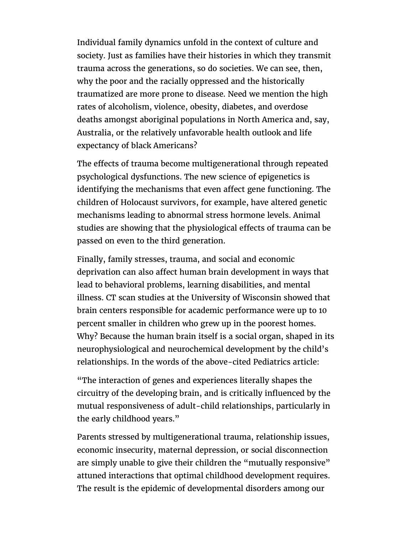Individual family dynamics unfold in the context of culture and society. Just as families have their histories in which they transmit trauma across the generations, so do societies. We can see, then, why the poor and the racially oppressed and the historically traumatized are more prone to disease. Need we mention the high rates of alcoholism, violence, obesity, diabetes, and overdose deaths amongst aboriginal populations in North America and, say, Australia, or the relatively unfavorable health outlook and life expectancy of black Americans?

The effects of trauma become multigenerational through repeated psychological dysfunctions. The new science of epigenetics is identifying the mechanisms that even affect gene functioning. The children of Holocaust survivors, for example, have altered genetic mechanisms leading to abnormal stress hormone levels. Animal studies are showing that the physiological effects of trauma can be passed on even to the third generation.

Finally, family stresses, trauma, and social and economic deprivation can also affect human brain development in ways that lead to behavioral problems, learning disabilities, and mental illness. CT scan studies at the University of Wisconsin showed that brain centers responsible for academic performance were up to 10 percent smaller in children who grew up in the poorest homes. Why? Because the human brain itself is a social organ, shaped in its neurophysiological and neurochemical development by the child's relationships. In the words of the above-cited Pediatrics article:

"The interaction of genes and experiences literally shapes the circuitry of the developing brain, and is critically influenced by the mutual responsiveness of adult-child relationships, particularly in the early childhood years."

Parents stressed by multigenerational trauma, relationship issues, economic insecurity, maternal depression, or social disconnection are simply unable to give their children the "mutually responsive" attuned interactions that optimal childhood development requires. The result is the epidemic of developmental disorders among our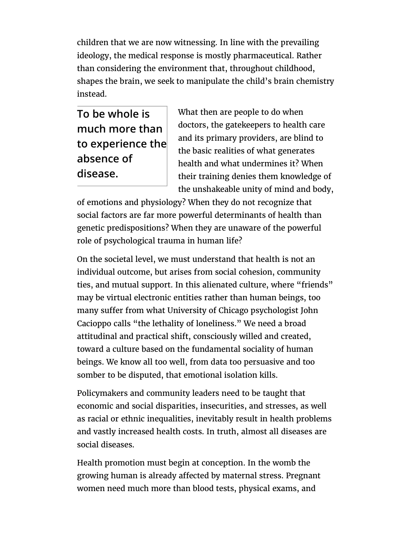children that we are now witnessing. In line with the prevailing ideology, the medical response is mostly pharmaceutical. Rather than considering the environment that, throughout childhood, shapes the brain, we seek to manipulate the child's brain chemistry instead.

To be whole is much more than to experience the absence of disease.

What then are people to do when doctors, the gatekeepers to health care and its primary providers, are blind to the basic realities of what generates health and what undermines it? When their training denies them knowledge of the unshakeable unity of mind and body,

of emotions and physiology? When they do not recognize that social factors are far more powerful determinants of health than genetic predispositions? When they are unaware of the powerful role of psychological trauma in human life?

On the societal level, we must understand that health is not an individual outcome, but arises from social cohesion, community ties, and mutual support. In this alienated culture, where "friends" may be virtual electronic entities rather than human beings, too many suffer from what University of Chicago psychologist John Cacioppo calls "the lethality of loneliness." We need a broad attitudinal and practical shift, consciously willed and created, toward a culture based on the fundamental sociality of human beings. We know all too well, from data too persuasive and too somber to be disputed, that emotional isolation kills.

Policymakers and community leaders need to be taught that economic and social disparities, insecurities, and stresses, as well as racial or ethnic inequalities, inevitably result in health problems and vastly increased health costs. In truth, almost all diseases are social diseases.

Health promotion must begin at conception. In the womb the growing human is already affected by maternal stress. Pregnant women need much more than blood tests, physical exams, and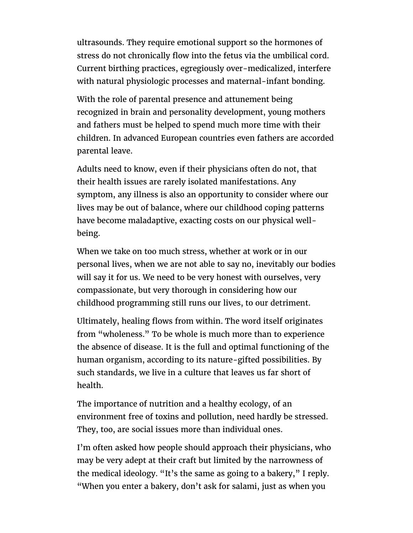ultrasounds. They require emotional support so the hormones of stress do not chronically flow into the fetus via the umbilical cord. Current birthing practices, egregiously over-medicalized, interfere with natural physiologic processes and maternal-infant bonding.

With the role of parental presence and attunement being recognized in brain and personality development, young mothers and fathers must be helped to spend much more time with their children. In advanced European countries even fathers are accorded parental leave.

Adults need to know, even if their physicians often do not, that their health issues are rarely isolated manifestations. Any symptom, any illness is also an opportunity to consider where our lives may be out of balance, where our childhood coping patterns have become maladaptive, exacting costs on our physical wellbeing.

When we take on too much stress, whether at work or in our personal lives, when we are not able to say no, inevitably our bodies will say it for us. We need to be very honest with ourselves, very compassionate, but very thorough in considering how our childhood programming still runs our lives, to our detriment.

Ultimately, healing flows from within. The word itself originates from "wholeness." To be whole is much more than to experience the absence of disease. It is the full and optimal functioning of the human organism, according to its nature-gifted possibilities. By such standards, we live in a culture that leaves us far short of health.

The importance of nutrition and a healthy ecology, of an environment free of toxins and pollution, need hardly be stressed. They, too, are social issues more than individual ones.

I'm often asked how people should approach their physicians, who may be very adept at their craft but limited by the narrowness of the medical ideology. "It's the same as going to a bakery," I reply. "When you enter a bakery, don't ask for salami, just as when you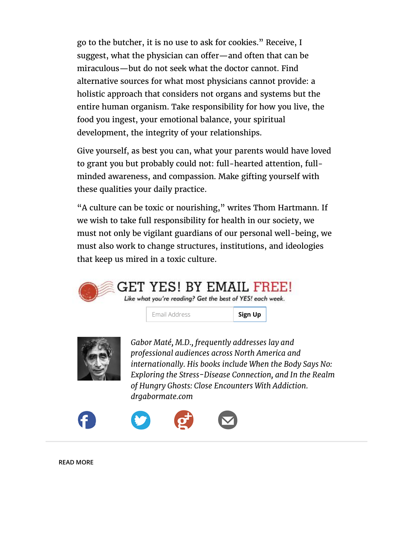go to the butcher, it is no use to ask for cookies." Receive, I suggest, what the physician can offer—and often that can be miraculous—but do not seek what the doctor cannot. Find alternative sources for what most physicians cannot provide: a holistic approach that considers not organs and systems but the entire human organism. Take responsibility for how you live, the food you ingest, your emotional balance, your spiritual development, the integrity of your relationships.

Give yourself, as best you can, what your parents would have loved to grant you but probably could not: full-hearted attention, fullminded awareness, and compassion. Make gifting yourself with these qualities your daily practice.

"A culture can be toxic or nourishing," writes Thom Hartmann. If we wish to take full responsibility for health in our society, we must not only be vigilant guardians of our personal well-being, we must also work to change structures, institutions, and ideologies that keep us mired in a toxic culture.



## IET YES! BY EMAIL FREE!

Like what you're reading? Get the best of YES! each week.

Email Address

**Sign Up**



*Gabor Maté, M.D., frequently addresses lay and professional audiences across North America and internationally. His books include When the Body Says No: Exploring the Stress-Disease Connection, and In the Realm of Hungry Ghosts: Close Encounters With Addiction. drgabormate.com*









READ MORE